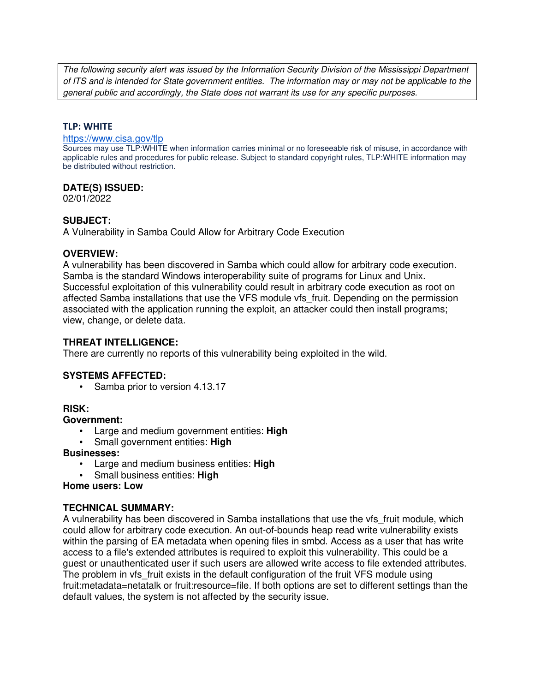The following security alert was issued by the Information Security Division of the Mississippi Department of ITS and is intended for State government entities. The information may or may not be applicable to the general public and accordingly, the State does not warrant its use for any specific purposes.

### **TLP: WHITE**

#### https://www.cisa.gov/tlp

Sources may use TLP:WHITE when information carries minimal or no foreseeable risk of misuse, in accordance with applicable rules and procedures for public release. Subject to standard copyright rules, TLP:WHITE information may be distributed without restriction.

## **DATE(S) ISSUED:**

02/01/2022

## **SUBJECT:**

A Vulnerability in Samba Could Allow for Arbitrary Code Execution

## **OVERVIEW:**

A vulnerability has been discovered in Samba which could allow for arbitrary code execution. Samba is the standard Windows interoperability suite of programs for Linux and Unix. Successful exploitation of this vulnerability could result in arbitrary code execution as root on affected Samba installations that use the VFS module vfs\_fruit. Depending on the permission associated with the application running the exploit, an attacker could then install programs; view, change, or delete data.

# **THREAT INTELLIGENCE:**

There are currently no reports of this vulnerability being exploited in the wild.

### **SYSTEMS AFFECTED:**

• Samba prior to version 4.13.17

## **RISK:**

### **Government:**

- Large and medium government entities: **High**
- Small government entities: **High**

### **Businesses:**

- Large and medium business entities: **High**
- Small business entities: **High**

# **Home users: Low**

## **TECHNICAL SUMMARY:**

A vulnerability has been discovered in Samba installations that use the vfs fruit module, which could allow for arbitrary code execution. An out-of-bounds heap read write vulnerability exists within the parsing of EA metadata when opening files in smbd. Access as a user that has write access to a file's extended attributes is required to exploit this vulnerability. This could be a guest or unauthenticated user if such users are allowed write access to file extended attributes. The problem in vfs fruit exists in the default configuration of the fruit VFS module using fruit:metadata=netatalk or fruit:resource=file. If both options are set to different settings than the default values, the system is not affected by the security issue.